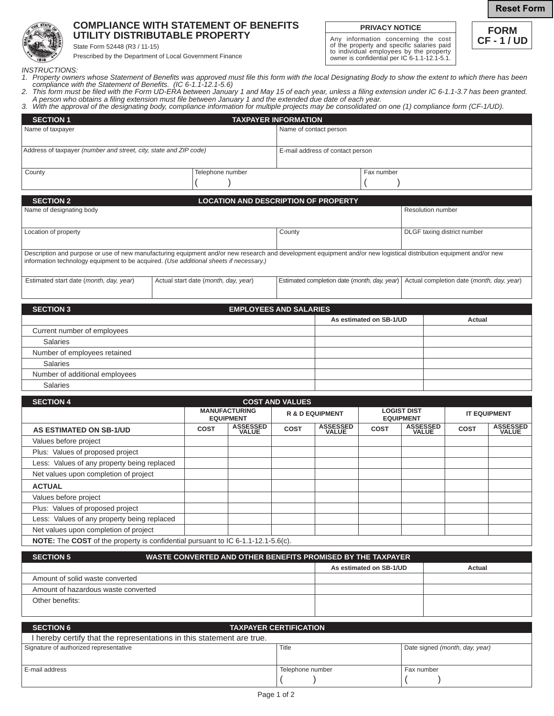## **COMPLIANCE WITH STATEMENT OF BENEFITS UTILITY DISTRIBUTABLE PROPERTY**

State Form 52448 (R3 / 11-15)

Prescribed by the Department of Local Government Finance

## **PRIVACY NOTICE**

Any information concerning the cost of the property and specific salaries paid to individual employees by the property owner is confidential per IC 6-1.1-12.1-5.1.



**Reset Form**

*INSTRUCTIONS:*

- *1. Property owners whose Statement of Benefits was approved must file this form with the local Designating Body to show the extent to which there has been compliance with the Statement of Benefits. (IC 6-1.1-12.1-5.6)*
- 2. This form must be filed with the Form UD-ERA between January 1 and May 15 of each year, unless a filing extension under IC 6-1.1-3.7 has been granted.  *A person who obtains a filing extension must file between January 1 and the extended due date of each year.*
- *3. With the approval of the designating body, compliance information for multiple projects may be consolidated on one (1) compliance form (CF-1/UD).*

| <b>SECTION 1</b>                                                                                                                                                                                                                                              |                                      |             | <b>TAXPAYER INFORMATION</b>                 |                        |                                                                                           |                         |                                        |                             |                          |
|---------------------------------------------------------------------------------------------------------------------------------------------------------------------------------------------------------------------------------------------------------------|--------------------------------------|-------------|---------------------------------------------|------------------------|-------------------------------------------------------------------------------------------|-------------------------|----------------------------------------|-----------------------------|--------------------------|
| Name of taxpayer                                                                                                                                                                                                                                              |                                      |             |                                             | Name of contact person |                                                                                           |                         |                                        |                             |                          |
| Address of taxpayer (number and street, city, state and ZIP code)                                                                                                                                                                                             |                                      |             | E-mail address of contact person            |                        |                                                                                           |                         |                                        |                             |                          |
|                                                                                                                                                                                                                                                               |                                      |             |                                             |                        |                                                                                           |                         |                                        |                             |                          |
| Telephone number<br>County                                                                                                                                                                                                                                    |                                      |             |                                             |                        |                                                                                           | Fax number              |                                        |                             |                          |
|                                                                                                                                                                                                                                                               |                                      |             |                                             |                        |                                                                                           |                         |                                        |                             |                          |
| <b>SECTION 2</b>                                                                                                                                                                                                                                              |                                      |             | <b>LOCATION AND DESCRIPTION OF PROPERTY</b> |                        |                                                                                           |                         |                                        |                             |                          |
| Name of designating body                                                                                                                                                                                                                                      |                                      |             |                                             |                        |                                                                                           |                         | <b>Resolution number</b>               |                             |                          |
|                                                                                                                                                                                                                                                               |                                      |             |                                             |                        |                                                                                           |                         |                                        |                             |                          |
| Location of property                                                                                                                                                                                                                                          |                                      |             |                                             | County                 |                                                                                           |                         |                                        | DLGF taxing district number |                          |
|                                                                                                                                                                                                                                                               |                                      |             |                                             |                        |                                                                                           |                         |                                        |                             |                          |
| Description and purpose or use of new manufacturing equipment and/or new research and development equipment and/or new logistical distribution equipment and/or new<br>information technology equipment to be acquired. (Use additional sheets if necessary.) |                                      |             |                                             |                        |                                                                                           |                         |                                        |                             |                          |
| Estimated start date (month, day, year)                                                                                                                                                                                                                       | Actual start date (month, day, year) |             |                                             |                        | Estimated completion date (month, day, year)<br>Actual completion date (month, day, year) |                         |                                        |                             |                          |
| <b>SECTION 3</b>                                                                                                                                                                                                                                              |                                      |             | <b>EMPLOYEES AND SALARIES</b>               |                        |                                                                                           |                         |                                        |                             |                          |
|                                                                                                                                                                                                                                                               |                                      |             |                                             |                        |                                                                                           | As estimated on SB-1/UD |                                        | Actual                      |                          |
| Current number of employees                                                                                                                                                                                                                                   |                                      |             |                                             |                        |                                                                                           |                         |                                        |                             |                          |
| <b>Salaries</b>                                                                                                                                                                                                                                               |                                      |             |                                             |                        |                                                                                           |                         |                                        |                             |                          |
| Number of employees retained                                                                                                                                                                                                                                  |                                      |             |                                             |                        |                                                                                           |                         |                                        |                             |                          |
| <b>Salaries</b>                                                                                                                                                                                                                                               |                                      |             |                                             |                        |                                                                                           |                         |                                        |                             |                          |
| Number of additional employees                                                                                                                                                                                                                                |                                      |             |                                             |                        |                                                                                           |                         |                                        |                             |                          |
| <b>Salaries</b>                                                                                                                                                                                                                                               |                                      |             |                                             |                        |                                                                                           |                         |                                        |                             |                          |
| <b>SECTION 4</b>                                                                                                                                                                                                                                              |                                      |             |                                             | <b>COST AND VALUES</b> |                                                                                           |                         |                                        |                             |                          |
|                                                                                                                                                                                                                                                               |                                      |             | <b>MANUFACTURING</b><br><b>EQUIPMENT</b>    |                        | <b>R &amp; D EQUIPMENT</b>                                                                |                         | <b>LOGIST DIST</b><br><b>EQUIPMENT</b> |                             | <b>IT EQUIPMENT</b>      |
| <b>AS ESTIMATED ON SB-1/UD</b>                                                                                                                                                                                                                                |                                      | <b>COST</b> | <b>ASSESSED</b><br>VALUE                    | <b>COST</b>            | <b>ASSESSED</b><br>VALUE                                                                  | COST                    | <b>ASSESSED</b><br>VALUE               | <b>COST</b>                 | <b>ASSESSED</b><br>VALUE |
| Values before project                                                                                                                                                                                                                                         |                                      |             |                                             |                        |                                                                                           |                         |                                        |                             |                          |
| Plus: Values of proposed project                                                                                                                                                                                                                              |                                      |             |                                             |                        |                                                                                           |                         |                                        |                             |                          |
| Less: Values of any property being replaced                                                                                                                                                                                                                   |                                      |             |                                             |                        |                                                                                           |                         |                                        |                             |                          |
| Net values upon completion of project                                                                                                                                                                                                                         |                                      |             |                                             |                        |                                                                                           |                         |                                        |                             |                          |
| <b>ACTUAL</b>                                                                                                                                                                                                                                                 |                                      |             |                                             |                        |                                                                                           |                         |                                        |                             |                          |
| Values before project                                                                                                                                                                                                                                         |                                      |             |                                             |                        |                                                                                           |                         |                                        |                             |                          |
| Plus: Values of proposed project                                                                                                                                                                                                                              |                                      |             |                                             |                        |                                                                                           |                         |                                        |                             |                          |

**NOTE:** The **COST** of the property is confidential pursuant to IC 6-1.1-12.1-5.6(c).

Less: Values of any property being replaced Net values upon completion of project

| <b>SECTION 5</b>                    | WASTE CONVERTED AND OTHER BENEFITS PROMISED BY THE TAXPAYER |                         |        |  |  |  |
|-------------------------------------|-------------------------------------------------------------|-------------------------|--------|--|--|--|
|                                     |                                                             | As estimated on SB-1/UD | Actual |  |  |  |
| Amount of solid waste converted     |                                                             |                         |        |  |  |  |
| Amount of hazardous waste converted |                                                             |                         |        |  |  |  |
| Other benefits:                     |                                                             |                         |        |  |  |  |
|                                     |                                                             |                         |        |  |  |  |

| <b>SECTION 6</b>                                                      | <b>TAXPAYER CERTIFICATION</b> |                                |  |  |  |  |  |
|-----------------------------------------------------------------------|-------------------------------|--------------------------------|--|--|--|--|--|
| I hereby certify that the representations in this statement are true. |                               |                                |  |  |  |  |  |
| Signature of authorized representative                                | Title                         | Date signed (month, day, year) |  |  |  |  |  |
|                                                                       |                               |                                |  |  |  |  |  |
| LE-mail address                                                       | Telephone number              | Fax number                     |  |  |  |  |  |
|                                                                       |                               |                                |  |  |  |  |  |